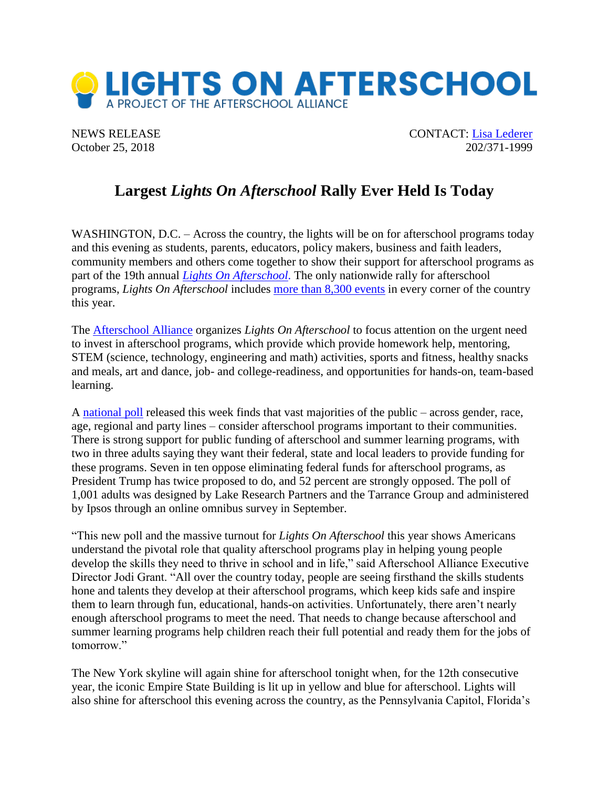

NEWS RELEASE CONTACT: [Lisa Lederer](mailto:lisa@prsolutionsdc.com) October 25, 2018 202/371-1999

## **Largest** *Lights On Afterschool* **Rally Ever Held Is Today**

WASHINGTON, D.C. – Across the country, the lights will be on for afterschool programs today and this evening as students, parents, educators, policy makers, business and faith leaders, community members and others come together to show their support for afterschool programs as part of the 19th annual *[Lights On Afterschool](http://www.afterschoolalliance.org/loa.cfm)*. The only nationwide rally for afterschool programs, *Lights On Afterschool* includes [more than 8,300 events](http://afterschoolalliance.org/loaEvents2018.pdf) in every corner of the country this year.

The [Afterschool Alliance](http://www.afterschoolalliance.org/) organizes *Lights On Afterschool* to focus attention on the urgent need to invest in afterschool programs, which provide which provide homework help, mentoring, STEM (science, technology, engineering and math) activities, sports and fitness, healthy snacks and meals, art and dance, job- and college-readiness, and opportunities for hands-on, team-based learning.

A [national poll](http://afterschoolalliance.org/afterschool-polling-2018.cfm) released this week finds that vast majorities of the public – across gender, race, age, regional and party lines – consider afterschool programs important to their communities. There is strong support for public funding of afterschool and summer learning programs, with two in three adults saying they want their federal, state and local leaders to provide funding for these programs. Seven in ten oppose eliminating federal funds for afterschool programs, as President Trump has twice proposed to do, and 52 percent are strongly opposed. The poll of 1,001 adults was designed by Lake Research Partners and the Tarrance Group and administered by Ipsos through an online omnibus survey in September.

"This new poll and the massive turnout for *Lights On Afterschool* this year shows Americans understand the pivotal role that quality afterschool programs play in helping young people develop the skills they need to thrive in school and in life," said Afterschool Alliance Executive Director Jodi Grant. "All over the country today, people are seeing firsthand the skills students hone and talents they develop at their afterschool programs, which keep kids safe and inspire them to learn through fun, educational, hands-on activities. Unfortunately, there aren't nearly enough afterschool programs to meet the need. That needs to change because afterschool and summer learning programs help children reach their full potential and ready them for the jobs of tomorrow."

The New York skyline will again shine for afterschool tonight when, for the 12th consecutive year, the iconic Empire State Building is lit up in yellow and blue for afterschool. Lights will also shine for afterschool this evening across the country, as the Pennsylvania Capitol, Florida's